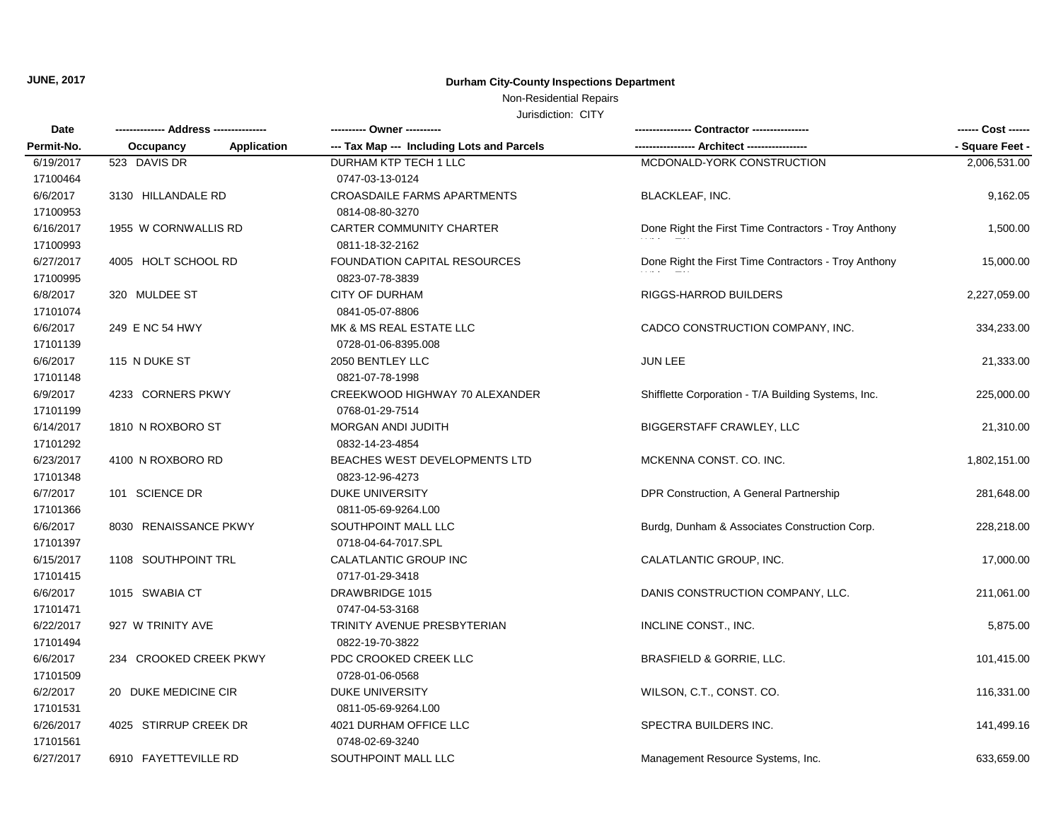#### Non-Residential Repairs

| Date<br>Permit-No. | ------------- Address -------------- | ---------- Owner ----------                |                                                      | ------ Cost ------ |
|--------------------|--------------------------------------|--------------------------------------------|------------------------------------------------------|--------------------|
|                    | Application<br>Occupancy             | --- Tax Map --- Including Lots and Parcels |                                                      | - Square Feet -    |
| 6/19/2017          | 523 DAVIS DR                         | DURHAM KTP TECH 1 LLC                      | MCDONALD-YORK CONSTRUCTION                           | 2,006,531.00       |
| 17100464           |                                      | 0747-03-13-0124                            |                                                      |                    |
| 6/6/2017           | 3130 HILLANDALE RD                   | CROASDAILE FARMS APARTMENTS                | <b>BLACKLEAF, INC.</b>                               | 9,162.05           |
| 17100953           |                                      | 0814-08-80-3270                            |                                                      |                    |
| 6/16/2017          | 1955 W CORNWALLIS RD                 | CARTER COMMUNITY CHARTER                   | Done Right the First Time Contractors - Troy Anthony | 1,500.00           |
| 17100993           |                                      | 0811-18-32-2162                            |                                                      |                    |
| 6/27/2017          | 4005 HOLT SCHOOL RD                  | <b>FOUNDATION CAPITAL RESOURCES</b>        | Done Right the First Time Contractors - Troy Anthony | 15,000.00          |
| 17100995           |                                      | 0823-07-78-3839                            |                                                      |                    |
| 6/8/2017           | 320 MULDEE ST                        | <b>CITY OF DURHAM</b>                      | <b>RIGGS-HARROD BUILDERS</b>                         | 2,227,059.00       |
| 17101074           |                                      | 0841-05-07-8806                            |                                                      |                    |
| 6/6/2017           | 249 E NC 54 HWY                      | MK & MS REAL ESTATE LLC                    | CADCO CONSTRUCTION COMPANY, INC.                     | 334,233.00         |
| 17101139           |                                      | 0728-01-06-8395.008                        |                                                      |                    |
| 6/6/2017           | 115 N DUKE ST                        | 2050 BENTLEY LLC                           | JUN LEE                                              | 21,333.00          |
| 17101148           |                                      | 0821-07-78-1998                            |                                                      |                    |
| 6/9/2017           | 4233 CORNERS PKWY                    | CREEKWOOD HIGHWAY 70 ALEXANDER             | Shifflette Corporation - T/A Building Systems, Inc.  | 225,000.00         |
| 17101199           |                                      | 0768-01-29-7514                            |                                                      |                    |
| 6/14/2017          | 1810 N ROXBORO ST                    | MORGAN ANDI JUDITH                         | <b>BIGGERSTAFF CRAWLEY, LLC</b>                      | 21,310.00          |
| 17101292           |                                      | 0832-14-23-4854                            |                                                      |                    |
| 6/23/2017          | 4100 N ROXBORO RD                    | BEACHES WEST DEVELOPMENTS LTD              | MCKENNA CONST. CO. INC.                              | 1,802,151.00       |
| 17101348           |                                      | 0823-12-96-4273                            |                                                      |                    |
| 6/7/2017           | 101 SCIENCE DR                       | <b>DUKE UNIVERSITY</b>                     | DPR Construction, A General Partnership              | 281,648.00         |
| 17101366           |                                      | 0811-05-69-9264.L00                        |                                                      |                    |
| 6/6/2017           | 8030 RENAISSANCE PKWY                | SOUTHPOINT MALL LLC                        | Burdg, Dunham & Associates Construction Corp.        | 228,218.00         |
| 17101397           |                                      | 0718-04-64-7017.SPL                        |                                                      |                    |
| 6/15/2017          | 1108 SOUTHPOINT TRL                  | CALATLANTIC GROUP INC                      | CALATLANTIC GROUP, INC.                              | 17,000.00          |
| 17101415           |                                      | 0717-01-29-3418                            |                                                      |                    |
| 6/6/2017           | 1015 SWABIA CT                       | DRAWBRIDGE 1015                            | DANIS CONSTRUCTION COMPANY, LLC.                     | 211,061.00         |
| 17101471           |                                      | 0747-04-53-3168                            |                                                      |                    |
| 6/22/2017          | 927 W TRINITY AVE                    | TRINITY AVENUE PRESBYTERIAN                | INCLINE CONST., INC.                                 | 5,875.00           |
| 17101494           |                                      | 0822-19-70-3822                            |                                                      |                    |
| 6/6/2017           | 234 CROOKED CREEK PKWY               | PDC CROOKED CREEK LLC                      | <b>BRASFIELD &amp; GORRIE, LLC.</b>                  | 101,415.00         |
| 17101509           |                                      | 0728-01-06-0568                            |                                                      |                    |
| 6/2/2017           | 20 DUKE MEDICINE CIR                 | <b>DUKE UNIVERSITY</b>                     | WILSON, C.T., CONST. CO.                             | 116,331.00         |
| 17101531           |                                      | 0811-05-69-9264.L00                        |                                                      |                    |
| 6/26/2017          | 4025 STIRRUP CREEK DR                | 4021 DURHAM OFFICE LLC                     | SPECTRA BUILDERS INC.                                | 141,499.16         |
| 17101561           |                                      | 0748-02-69-3240                            |                                                      |                    |
| 6/27/2017          | 6910 FAYETTEVILLE RD                 | SOUTHPOINT MALL LLC                        | Management Resource Systems, Inc.                    | 633,659.00         |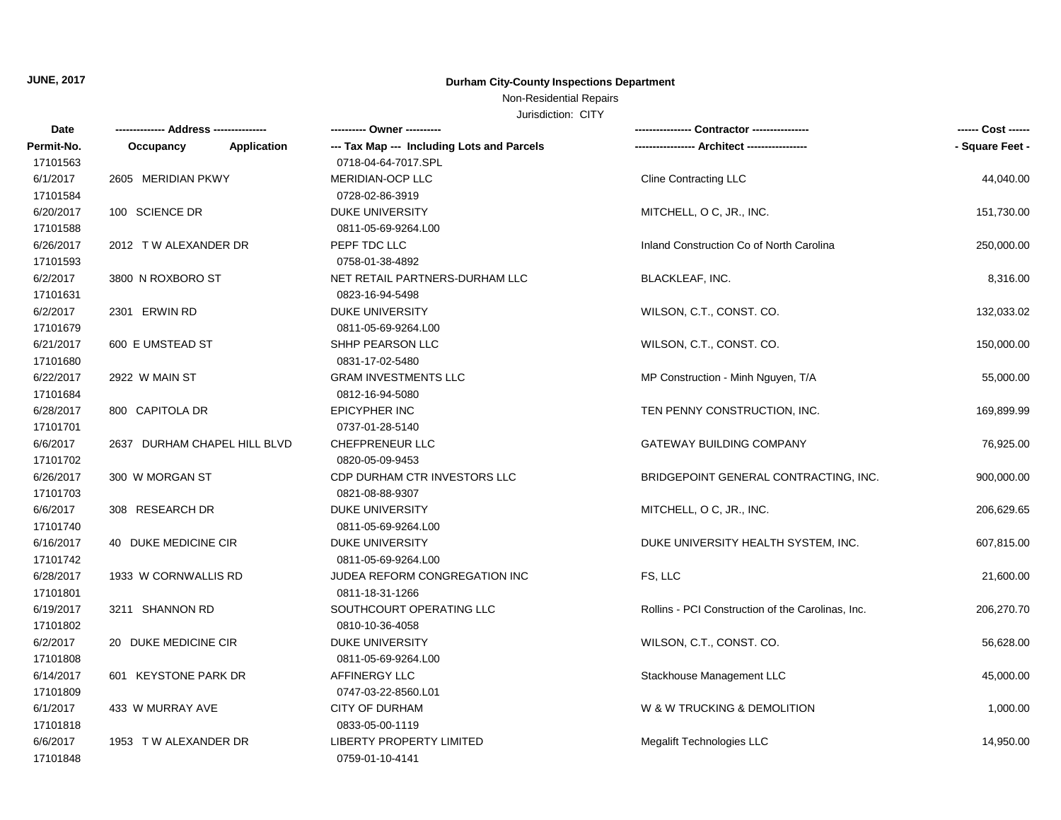#### Non-Residential Repairs

| Date       |                              | ---------- Owner ----------                |                                                   | ------ Cost ------ |
|------------|------------------------------|--------------------------------------------|---------------------------------------------------|--------------------|
| Permit-No. | Application<br>Occupancy     | --- Tax Map --- Including Lots and Parcels |                                                   | - Square Feet -    |
| 17101563   |                              | 0718-04-64-7017.SPL                        |                                                   |                    |
| 6/1/2017   | 2605 MERIDIAN PKWY           | MERIDIAN-OCP LLC                           | <b>Cline Contracting LLC</b>                      | 44,040.00          |
| 17101584   |                              | 0728-02-86-3919                            |                                                   |                    |
| 6/20/2017  | 100 SCIENCE DR               | <b>DUKE UNIVERSITY</b>                     | MITCHELL, O C, JR., INC.                          | 151,730.00         |
| 17101588   |                              | 0811-05-69-9264.L00                        |                                                   |                    |
| 6/26/2017  | 2012 TW ALEXANDER DR         | PEPF TDC LLC                               | Inland Construction Co of North Carolina          | 250,000.00         |
| 17101593   |                              | 0758-01-38-4892                            |                                                   |                    |
| 6/2/2017   | 3800 N ROXBORO ST            | NET RETAIL PARTNERS-DURHAM LLC             | <b>BLACKLEAF, INC.</b>                            | 8,316.00           |
| 17101631   |                              | 0823-16-94-5498                            |                                                   |                    |
| 6/2/2017   | 2301 ERWIN RD                | <b>DUKE UNIVERSITY</b>                     | WILSON, C.T., CONST. CO.                          | 132,033.02         |
| 17101679   |                              | 0811-05-69-9264.L00                        |                                                   |                    |
| 6/21/2017  | 600 E UMSTEAD ST             | SHHP PEARSON LLC                           | WILSON, C.T., CONST. CO.                          | 150,000.00         |
| 17101680   |                              | 0831-17-02-5480                            |                                                   |                    |
| 6/22/2017  | 2922 W MAIN ST               | <b>GRAM INVESTMENTS LLC</b>                | MP Construction - Minh Nguyen, T/A                | 55,000.00          |
| 17101684   |                              | 0812-16-94-5080                            |                                                   |                    |
| 6/28/2017  | 800 CAPITOLA DR              | <b>EPICYPHER INC</b>                       | TEN PENNY CONSTRUCTION, INC.                      | 169,899.99         |
| 17101701   |                              | 0737-01-28-5140                            |                                                   |                    |
| 6/6/2017   | 2637 DURHAM CHAPEL HILL BLVD | CHEFPRENEUR LLC                            | <b>GATEWAY BUILDING COMPANY</b>                   | 76,925.00          |
| 17101702   |                              | 0820-05-09-9453                            |                                                   |                    |
| 6/26/2017  | 300 W MORGAN ST              | CDP DURHAM CTR INVESTORS LLC               | BRIDGEPOINT GENERAL CONTRACTING, INC.             | 900,000.00         |
| 17101703   |                              | 0821-08-88-9307                            |                                                   |                    |
| 6/6/2017   | 308 RESEARCH DR              | <b>DUKE UNIVERSITY</b>                     | MITCHELL, O C, JR., INC.                          | 206,629.65         |
| 17101740   |                              | 0811-05-69-9264.L00                        |                                                   |                    |
| 6/16/2017  | 40 DUKE MEDICINE CIR         | <b>DUKE UNIVERSITY</b>                     | DUKE UNIVERSITY HEALTH SYSTEM, INC.               | 607,815.00         |
| 17101742   |                              | 0811-05-69-9264.L00                        |                                                   |                    |
| 6/28/2017  | 1933 W CORNWALLIS RD         | JUDEA REFORM CONGREGATION INC              | FS, LLC                                           | 21,600.00          |
| 17101801   |                              | 0811-18-31-1266                            |                                                   |                    |
| 6/19/2017  | 3211 SHANNON RD              | SOUTHCOURT OPERATING LLC                   | Rollins - PCI Construction of the Carolinas, Inc. | 206,270.70         |
| 17101802   |                              | 0810-10-36-4058                            |                                                   |                    |
| 6/2/2017   | 20 DUKE MEDICINE CIR         | <b>DUKE UNIVERSITY</b>                     | WILSON, C.T., CONST. CO.                          | 56,628.00          |
| 17101808   |                              | 0811-05-69-9264.L00                        |                                                   |                    |
| 6/14/2017  | 601 KEYSTONE PARK DR         | <b>AFFINERGY LLC</b>                       | Stackhouse Management LLC                         | 45,000.00          |
| 17101809   |                              | 0747-03-22-8560.L01                        |                                                   |                    |
| 6/1/2017   | 433 W MURRAY AVE             | <b>CITY OF DURHAM</b>                      | W & W TRUCKING & DEMOLITION                       | 1,000.00           |
| 17101818   |                              | 0833-05-00-1119                            |                                                   |                    |
| 6/6/2017   | 1953 TW ALEXANDER DR         | LIBERTY PROPERTY LIMITED                   | Megalift Technologies LLC                         | 14,950.00          |
| 17101848   |                              | 0759-01-10-4141                            |                                                   |                    |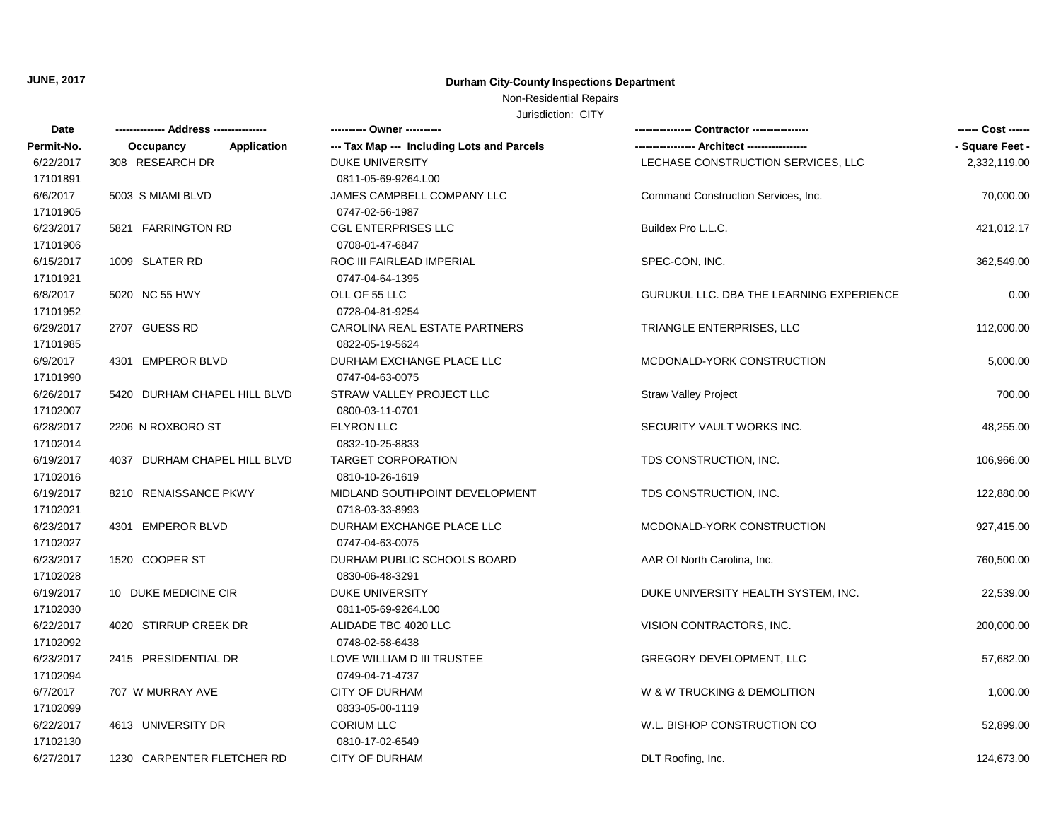# Non-Residential Repairs

| Date       |                              |                                            |                                                 | ------ Cost ------ |
|------------|------------------------------|--------------------------------------------|-------------------------------------------------|--------------------|
| Permit-No. | Occupancy<br>Application     | --- Tax Map --- Including Lots and Parcels |                                                 | - Square Feet -    |
| 6/22/2017  | 308 RESEARCH DR              | <b>DUKE UNIVERSITY</b>                     | LECHASE CONSTRUCTION SERVICES, LLC              | 2,332,119.00       |
| 17101891   |                              | 0811-05-69-9264.L00                        |                                                 |                    |
| 6/6/2017   | 5003 S MIAMI BLVD            | JAMES CAMPBELL COMPANY LLC                 | Command Construction Services, Inc.             | 70,000.00          |
| 17101905   |                              | 0747-02-56-1987                            |                                                 |                    |
| 6/23/2017  | 5821 FARRINGTON RD           | <b>CGL ENTERPRISES LLC</b>                 | Buildex Pro L.L.C.                              | 421,012.17         |
| 17101906   |                              | 0708-01-47-6847                            |                                                 |                    |
| 6/15/2017  | 1009 SLATER RD               | ROC III FAIRLEAD IMPERIAL                  | SPEC-CON, INC.                                  | 362,549.00         |
| 17101921   |                              | 0747-04-64-1395                            |                                                 |                    |
| 6/8/2017   | 5020 NC 55 HWY               | OLL OF 55 LLC                              | <b>GURUKUL LLC. DBA THE LEARNING EXPERIENCE</b> | 0.00               |
| 17101952   |                              | 0728-04-81-9254                            |                                                 |                    |
| 6/29/2017  | 2707 GUESS RD                | CAROLINA REAL ESTATE PARTNERS              | TRIANGLE ENTERPRISES, LLC                       | 112,000.00         |
| 17101985   |                              | 0822-05-19-5624                            |                                                 |                    |
| 6/9/2017   | 4301 EMPEROR BLVD            | DURHAM EXCHANGE PLACE LLC                  | MCDONALD-YORK CONSTRUCTION                      | 5,000.00           |
| 17101990   |                              | 0747-04-63-0075                            |                                                 |                    |
| 6/26/2017  | 5420 DURHAM CHAPEL HILL BLVD | STRAW VALLEY PROJECT LLC                   | <b>Straw Valley Project</b>                     | 700.00             |
| 17102007   |                              | 0800-03-11-0701                            |                                                 |                    |
| 6/28/2017  | 2206 N ROXBORO ST            | <b>ELYRON LLC</b>                          | SECURITY VAULT WORKS INC.                       | 48,255.00          |
| 17102014   |                              | 0832-10-25-8833                            |                                                 |                    |
| 6/19/2017  | 4037 DURHAM CHAPEL HILL BLVD | <b>TARGET CORPORATION</b>                  | TDS CONSTRUCTION, INC.                          | 106,966.00         |
| 17102016   |                              | 0810-10-26-1619                            |                                                 |                    |
| 6/19/2017  | 8210 RENAISSANCE PKWY        | MIDLAND SOUTHPOINT DEVELOPMENT             | TDS CONSTRUCTION, INC.                          | 122,880.00         |
| 17102021   |                              | 0718-03-33-8993                            |                                                 |                    |
| 6/23/2017  | 4301 EMPEROR BLVD            | DURHAM EXCHANGE PLACE LLC                  | MCDONALD-YORK CONSTRUCTION                      | 927,415.00         |
| 17102027   |                              | 0747-04-63-0075                            |                                                 |                    |
| 6/23/2017  | 1520 COOPER ST               | DURHAM PUBLIC SCHOOLS BOARD                | AAR Of North Carolina, Inc.                     | 760,500.00         |
| 17102028   |                              | 0830-06-48-3291                            |                                                 |                    |
| 6/19/2017  | 10 DUKE MEDICINE CIR         | <b>DUKE UNIVERSITY</b>                     | DUKE UNIVERSITY HEALTH SYSTEM, INC.             | 22,539.00          |
| 17102030   |                              | 0811-05-69-9264.L00                        |                                                 |                    |
| 6/22/2017  | 4020 STIRRUP CREEK DR        | ALIDADE TBC 4020 LLC                       | VISION CONTRACTORS, INC.                        | 200,000.00         |
| 17102092   |                              | 0748-02-58-6438                            |                                                 |                    |
| 6/23/2017  | 2415 PRESIDENTIAL DR         | LOVE WILLIAM D III TRUSTEE                 | <b>GREGORY DEVELOPMENT, LLC</b>                 | 57,682.00          |
| 17102094   |                              | 0749-04-71-4737                            |                                                 |                    |
| 6/7/2017   | 707 W MURRAY AVE             | <b>CITY OF DURHAM</b>                      | W & W TRUCKING & DEMOLITION                     | 1,000.00           |
| 17102099   |                              | 0833-05-00-1119                            |                                                 |                    |
| 6/22/2017  | 4613 UNIVERSITY DR           | <b>CORIUM LLC</b>                          | W.L. BISHOP CONSTRUCTION CO                     | 52,899.00          |
| 17102130   |                              | 0810-17-02-6549                            |                                                 |                    |
| 6/27/2017  | 1230 CARPENTER FLETCHER RD   | <b>CITY OF DURHAM</b>                      | DLT Roofing, Inc.                               | 124,673.00         |